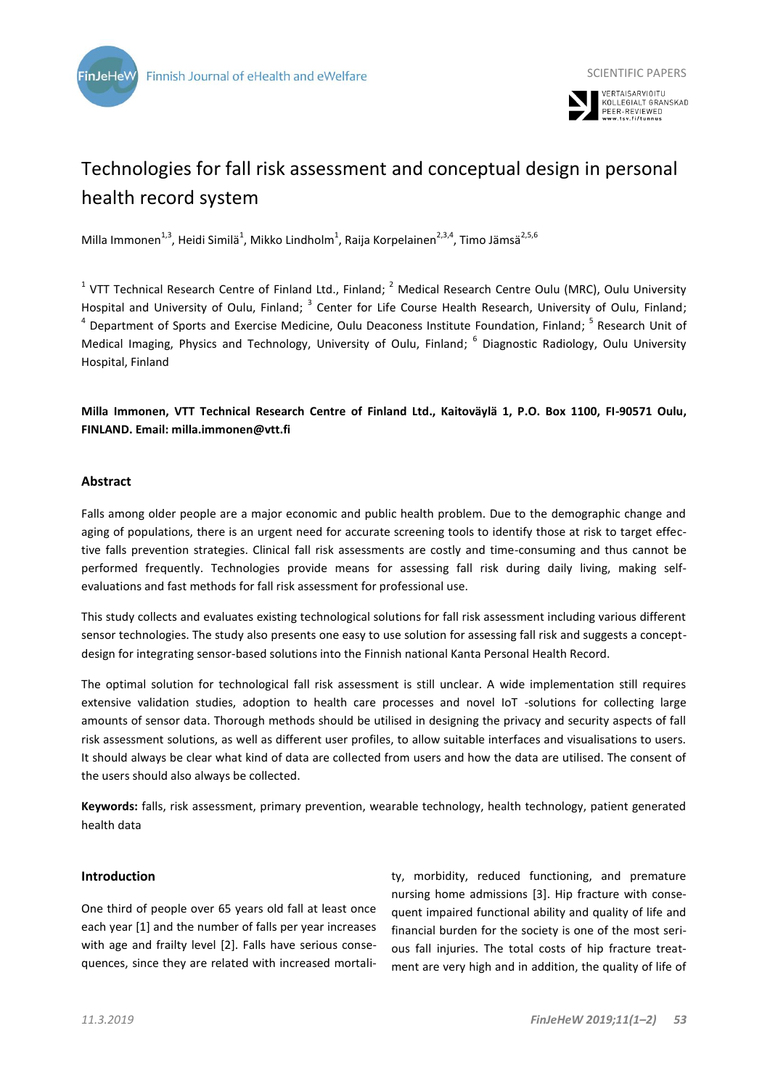



# Technologies for fall risk assessment and conceptual design in personal health record system

Milla Immonen<sup>1,3</sup>, Heidi Similä<sup>1</sup>, Mikko Lindholm<sup>1</sup>, Raija Korpelainen<sup>2,3,4</sup>, Timo Jämsä<sup>2,5,6</sup>

<sup>1</sup> VTT Technical Research Centre of Finland Ltd., Finland;  $^2$  Medical Research Centre Oulu (MRC), Oulu University Hospital and University of Oulu, Finland; <sup>3</sup> Center for Life Course Health Research, University of Oulu, Finland; <sup>4</sup> Department of Sports and Exercise Medicine, Oulu Deaconess Institute Foundation, Finland; <sup>5</sup> Research Unit of Medical Imaging, Physics and Technology, University of Oulu, Finland; <sup>6</sup> Diagnostic Radiology, Oulu University Hospital, Finland

**Milla Immonen, VTT Technical Research Centre of Finland Ltd., Kaitoväylä 1, P.O. Box 1100, FI-90571 Oulu, FINLAND. Email: milla.immonen@vtt.fi**

# **Abstract**

Falls among older people are a major economic and public health problem. Due to the demographic change and aging of populations, there is an urgent need for accurate screening tools to identify those at risk to target effective falls prevention strategies. Clinical fall risk assessments are costly and time-consuming and thus cannot be performed frequently. Technologies provide means for assessing fall risk during daily living, making selfevaluations and fast methods for fall risk assessment for professional use.

This study collects and evaluates existing technological solutions for fall risk assessment including various different sensor technologies. The study also presents one easy to use solution for assessing fall risk and suggests a conceptdesign for integrating sensor-based solutions into the Finnish national Kanta Personal Health Record.

The optimal solution for technological fall risk assessment is still unclear. A wide implementation still requires extensive validation studies, adoption to health care processes and novel IoT -solutions for collecting large amounts of sensor data. Thorough methods should be utilised in designing the privacy and security aspects of fall risk assessment solutions, as well as different user profiles, to allow suitable interfaces and visualisations to users. It should always be clear what kind of data are collected from users and how the data are utilised. The consent of the users should also always be collected.

**Keywords:** falls, risk assessment, primary prevention, wearable technology, health technology, patient generated health data

# **Introduction**

One third of people over 65 years old fall at least once each year [1] and the number of falls per year increases with age and frailty level [2]. Falls have serious consequences, since they are related with increased mortality, morbidity, reduced functioning, and premature nursing home admissions [3]. Hip fracture with consequent impaired functional ability and quality of life and financial burden for the society is one of the most serious fall injuries. The total costs of hip fracture treatment are very high and in addition, the quality of life of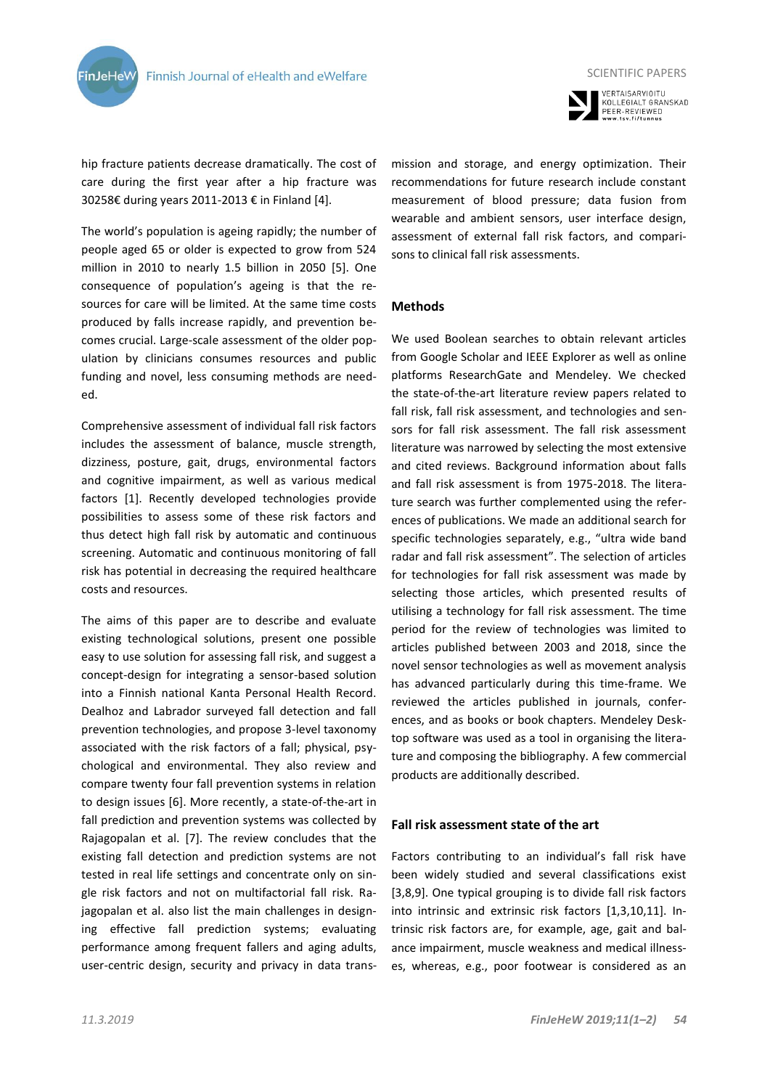



SCIENTIFIC PAPERS

hip fracture patients decrease dramatically. The cost of care during the first year after a hip fracture was 30258€ during years 2011-2013 € in Finland [4].

The world's population is ageing rapidly; the number of people aged 65 or older is expected to grow from 524 million in 2010 to nearly 1.5 billion in 2050 [5]. One consequence of population's ageing is that the resources for care will be limited. At the same time costs produced by falls increase rapidly, and prevention becomes crucial. Large-scale assessment of the older population by clinicians consumes resources and public funding and novel, less consuming methods are needed.

Comprehensive assessment of individual fall risk factors includes the assessment of balance, muscle strength, dizziness, posture, gait, drugs, environmental factors and cognitive impairment, as well as various medical factors [1]. Recently developed technologies provide possibilities to assess some of these risk factors and thus detect high fall risk by automatic and continuous screening. Automatic and continuous monitoring of fall risk has potential in decreasing the required healthcare costs and resources.

The aims of this paper are to describe and evaluate existing technological solutions, present one possible easy to use solution for assessing fall risk, and suggest a concept-design for integrating a sensor-based solution into a Finnish national Kanta Personal Health Record. Dealhoz and Labrador surveyed fall detection and fall prevention technologies, and propose 3-level taxonomy associated with the risk factors of a fall; physical, psychological and environmental. They also review and compare twenty four fall prevention systems in relation to design issues [6]. More recently, a state-of-the-art in fall prediction and prevention systems was collected by Rajagopalan et al. [7]. The review concludes that the existing fall detection and prediction systems are not tested in real life settings and concentrate only on single risk factors and not on multifactorial fall risk. Rajagopalan et al. also list the main challenges in designing effective fall prediction systems; evaluating performance among frequent fallers and aging adults, user-centric design, security and privacy in data transmission and storage, and energy optimization. Their recommendations for future research include constant measurement of blood pressure; data fusion from wearable and ambient sensors, user interface design, assessment of external fall risk factors, and comparisons to clinical fall risk assessments.

# **Methods**

We used Boolean searches to obtain relevant articles from Google Scholar and IEEE Explorer as well as online platforms ResearchGate and Mendeley. We checked the state-of-the-art literature review papers related to fall risk, fall risk assessment, and technologies and sensors for fall risk assessment. The fall risk assessment literature was narrowed by selecting the most extensive and cited reviews. Background information about falls and fall risk assessment is from 1975-2018. The literature search was further complemented using the references of publications. We made an additional search for specific technologies separately, e.g., "ultra wide band radar and fall risk assessment". The selection of articles for technologies for fall risk assessment was made by selecting those articles, which presented results of utilising a technology for fall risk assessment. The time period for the review of technologies was limited to articles published between 2003 and 2018, since the novel sensor technologies as well as movement analysis has advanced particularly during this time-frame. We reviewed the articles published in journals, conferences, and as books or book chapters. Mendeley Desktop software was used as a tool in organising the literature and composing the bibliography. A few commercial products are additionally described.

# **Fall risk assessment state of the art**

Factors contributing to an individual's fall risk have been widely studied and several classifications exist [3,8,9]. One typical grouping is to divide fall risk factors into intrinsic and extrinsic risk factors [1,3,10,11]. Intrinsic risk factors are, for example, age, gait and balance impairment, muscle weakness and medical illnesses, whereas, e.g., poor footwear is considered as an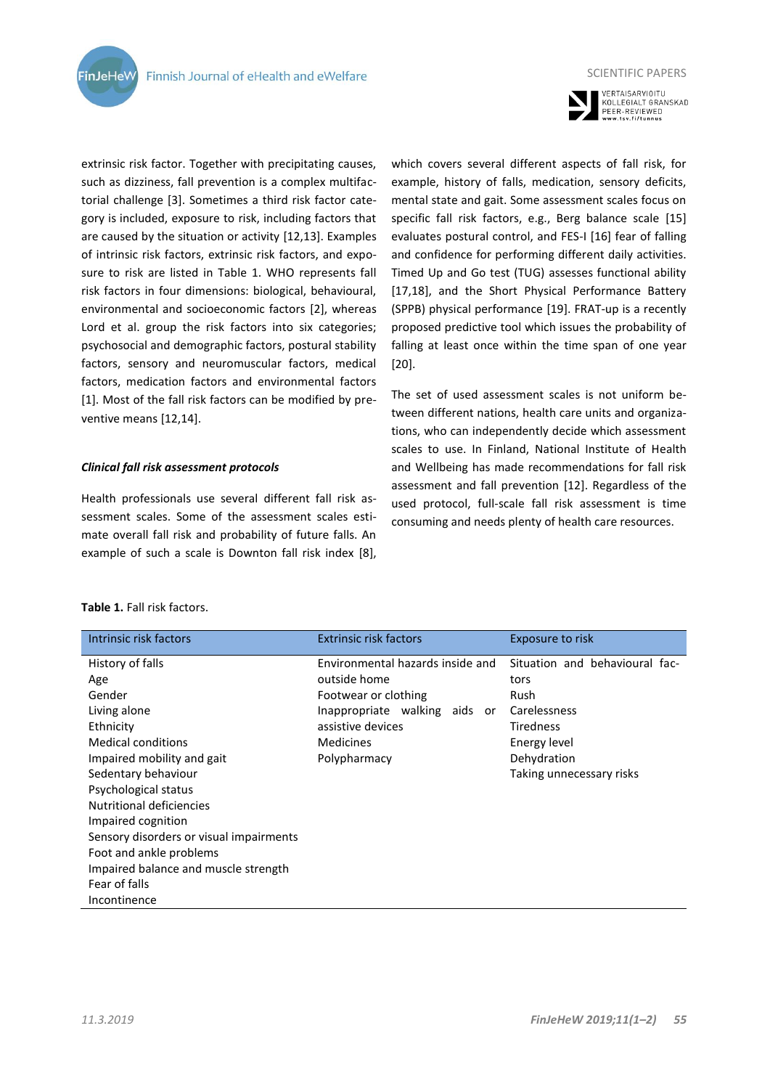

extrinsic risk factor. Together with precipitating causes, such as dizziness, fall prevention is a complex multifactorial challenge [3]. Sometimes a third risk factor category is included, exposure to risk, including factors that are caused by the situation or activity [12,13]. Examples of intrinsic risk factors, extrinsic risk factors, and exposure to risk are listed in Table 1. WHO represents fall risk factors in four dimensions: biological, behavioural, environmental and socioeconomic factors [2], whereas Lord et al. group the risk factors into six categories; psychosocial and demographic factors, postural stability factors, sensory and neuromuscular factors, medical factors, medication factors and environmental factors [1]. Most of the fall risk factors can be modified by preventive means [12,14].

# *Clinical fall risk assessment protocols*

Health professionals use several different fall risk assessment scales. Some of the assessment scales estimate overall fall risk and probability of future falls. An example of such a scale is Downton fall risk index [8],

which covers several different aspects of fall risk, for example, history of falls, medication, sensory deficits, mental state and gait. Some assessment scales focus on specific fall risk factors, e.g., Berg balance scale [15] evaluates postural control, and FES-I [16] fear of falling and confidence for performing different daily activities. Timed Up and Go test (TUG) assesses functional ability [17,18], and the Short Physical Performance Battery (SPPB) physical performance [19]. FRAT-up is a recently proposed predictive tool which issues the probability of falling at least once within the time span of one year [20].

The set of used assessment scales is not uniform between different nations, health care units and organizations, who can independently decide which assessment scales to use. In Finland, National Institute of Health and Wellbeing has made recommendations for fall risk assessment and fall prevention [12]. Regardless of the used protocol, full-scale fall risk assessment is time consuming and needs plenty of health care resources.

# **Table 1.** Fall risk factors.

**FinJeHeV** 

| Intrinsic risk factors                  | <b>Extrinsic risk factors</b>    | Exposure to risk               |
|-----------------------------------------|----------------------------------|--------------------------------|
| History of falls                        | Environmental hazards inside and | Situation and behavioural fac- |
| Age                                     | outside home                     | tors                           |
| Gender                                  | Footwear or clothing             | Rush                           |
| Living alone                            | Inappropriate walking aids or    | Carelessness                   |
| Ethnicity                               | assistive devices                | <b>Tiredness</b>               |
| <b>Medical conditions</b>               | Medicines                        | Energy level                   |
| Impaired mobility and gait              | Polypharmacy                     | Dehydration                    |
| Sedentary behaviour                     |                                  | Taking unnecessary risks       |
| Psychological status                    |                                  |                                |
| Nutritional deficiencies                |                                  |                                |
| Impaired cognition                      |                                  |                                |
| Sensory disorders or visual impairments |                                  |                                |
| Foot and ankle problems                 |                                  |                                |
| Impaired balance and muscle strength    |                                  |                                |
| Fear of falls                           |                                  |                                |
| Incontinence                            |                                  |                                |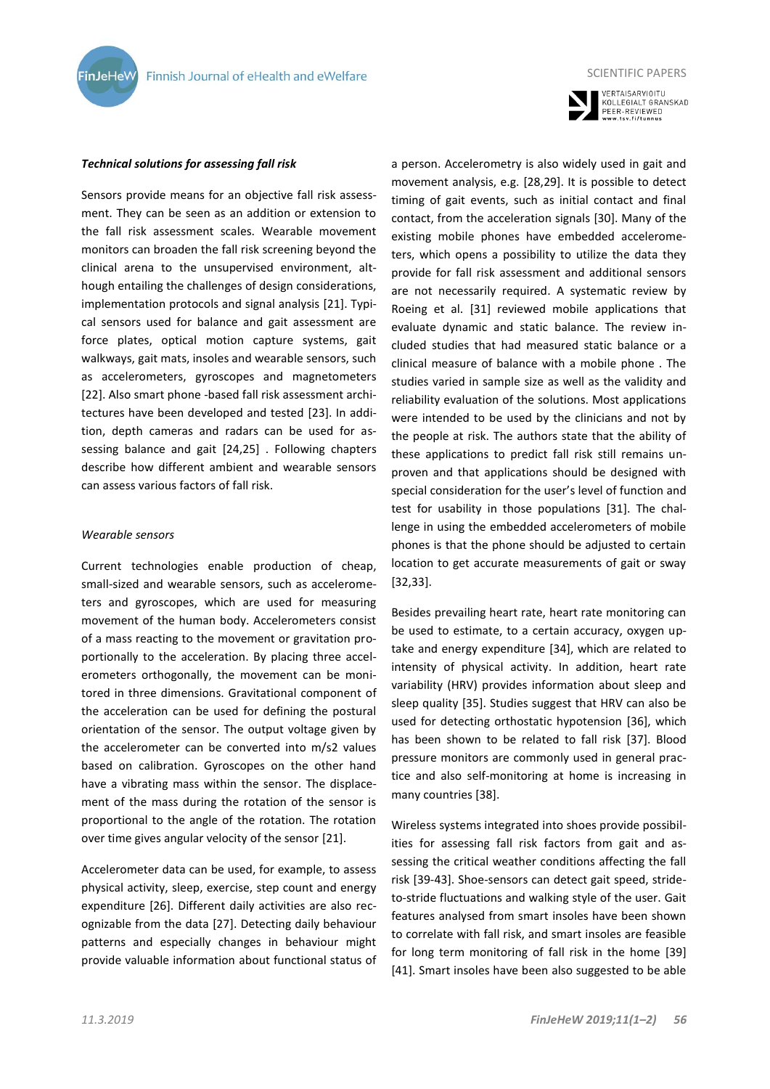



SCIENTIFIC PAPERS

#### *Technical solutions for assessing fall risk*

Sensors provide means for an objective fall risk assessment. They can be seen as an addition or extension to the fall risk assessment scales. Wearable movement monitors can broaden the fall risk screening beyond the clinical arena to the unsupervised environment, although entailing the challenges of design considerations, implementation protocols and signal analysis [21]. Typical sensors used for balance and gait assessment are force plates, optical motion capture systems, gait walkways, gait mats, insoles and wearable sensors, such as accelerometers, gyroscopes and magnetometers [22]. Also smart phone -based fall risk assessment architectures have been developed and tested [23]. In addition, depth cameras and radars can be used for assessing balance and gait [24,25] . Following chapters describe how different ambient and wearable sensors can assess various factors of fall risk.

#### *Wearable sensors*

Current technologies enable production of cheap, small-sized and wearable sensors, such as accelerometers and gyroscopes, which are used for measuring movement of the human body. Accelerometers consist of a mass reacting to the movement or gravitation proportionally to the acceleration. By placing three accelerometers orthogonally, the movement can be monitored in three dimensions. Gravitational component of the acceleration can be used for defining the postural orientation of the sensor. The output voltage given by the accelerometer can be converted into m/s2 values based on calibration. Gyroscopes on the other hand have a vibrating mass within the sensor. The displacement of the mass during the rotation of the sensor is proportional to the angle of the rotation. The rotation over time gives angular velocity of the sensor [21].

Accelerometer data can be used, for example, to assess physical activity, sleep, exercise, step count and energy expenditure [26]. Different daily activities are also recognizable from the data [27]. Detecting daily behaviour patterns and especially changes in behaviour might provide valuable information about functional status of a person. Accelerometry is also widely used in gait and movement analysis, e.g. [28,29]. It is possible to detect timing of gait events, such as initial contact and final contact, from the acceleration signals [30]. Many of the existing mobile phones have embedded accelerometers, which opens a possibility to utilize the data they provide for fall risk assessment and additional sensors are not necessarily required. A systematic review by Roeing et al. [31] reviewed mobile applications that evaluate dynamic and static balance. The review included studies that had measured static balance or a clinical measure of balance with a mobile phone . The studies varied in sample size as well as the validity and reliability evaluation of the solutions. Most applications were intended to be used by the clinicians and not by the people at risk. The authors state that the ability of these applications to predict fall risk still remains unproven and that applications should be designed with special consideration for the user's level of function and test for usability in those populations [31]. The challenge in using the embedded accelerometers of mobile phones is that the phone should be adjusted to certain location to get accurate measurements of gait or sway [32,33].

Besides prevailing heart rate, heart rate monitoring can be used to estimate, to a certain accuracy, oxygen uptake and energy expenditure [34], which are related to intensity of physical activity. In addition, heart rate variability (HRV) provides information about sleep and sleep quality [35]. Studies suggest that HRV can also be used for detecting orthostatic hypotension [36], which has been shown to be related to fall risk [37]. Blood pressure monitors are commonly used in general practice and also self-monitoring at home is increasing in many countries [38].

Wireless systems integrated into shoes provide possibilities for assessing fall risk factors from gait and assessing the critical weather conditions affecting the fall risk [39-43]. Shoe-sensors can detect gait speed, strideto-stride fluctuations and walking style of the user. Gait features analysed from smart insoles have been shown to correlate with fall risk, and smart insoles are feasible for long term monitoring of fall risk in the home [39] [41]. Smart insoles have been also suggested to be able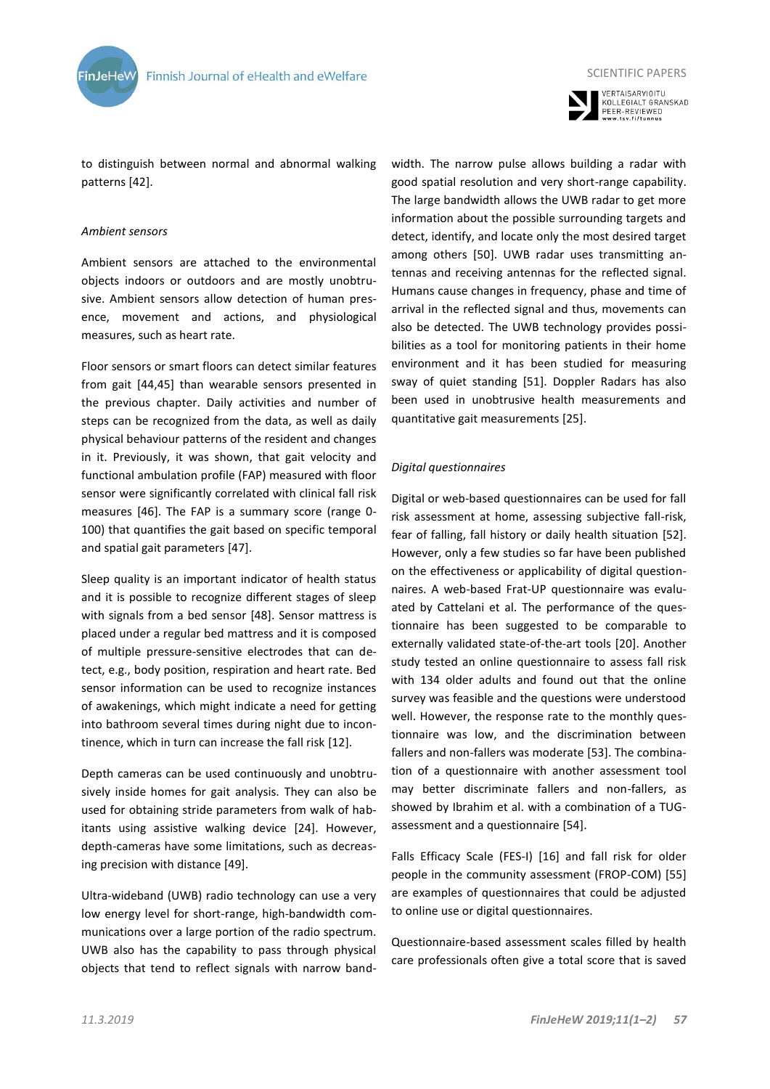



SCIENTIFIC PAPERS

to distinguish between normal and abnormal walking patterns [42].

#### *Ambient sensors*

Ambient sensors are attached to the environmental objects indoors or outdoors and are mostly unobtrusive. Ambient sensors allow detection of human presence, movement and actions, and physiological measures, such as heart rate.

Floor sensors or smart floors can detect similar features from gait [44,45] than wearable sensors presented in the previous chapter. Daily activities and number of steps can be recognized from the data, as well as daily physical behaviour patterns of the resident and changes in it. Previously, it was shown, that gait velocity and functional ambulation profile (FAP) measured with floor sensor were significantly correlated with clinical fall risk measures [46]. The FAP is a summary score (range 0- 100) that quantifies the gait based on specific temporal and spatial gait parameters [47].

Sleep quality is an important indicator of health status and it is possible to recognize different stages of sleep with signals from a bed sensor [48]. Sensor mattress is placed under a regular bed mattress and it is composed of multiple pressure-sensitive electrodes that can detect, e.g., body position, respiration and heart rate. Bed sensor information can be used to recognize instances of awakenings, which might indicate a need for getting into bathroom several times during night due to incontinence, which in turn can increase the fall risk [12].

Depth cameras can be used continuously and unobtrusively inside homes for gait analysis. They can also be used for obtaining stride parameters from walk of habitants using assistive walking device [24]. However, depth-cameras have some limitations, such as decreasing precision with distance [49].

Ultra-wideband (UWB) radio technology can use a very low energy level for short-range, high-bandwidth communications over a large portion of the radio spectrum. UWB also has the capability to pass through physical objects that tend to reflect signals with narrow bandwidth. The narrow pulse allows building a radar with good spatial resolution and very short-range capability. The large bandwidth allows the UWB radar to get more information about the possible surrounding targets and detect, identify, and locate only the most desired target among others [50]. UWB radar uses transmitting antennas and receiving antennas for the reflected signal. Humans cause changes in frequency, phase and time of arrival in the reflected signal and thus, movements can also be detected. The UWB technology provides possibilities as a tool for monitoring patients in their home environment and it has been studied for measuring sway of quiet standing [51]. Doppler Radars has also been used in unobtrusive health measurements and quantitative gait measurements [25].

# *Digital questionnaires*

Digital or web-based questionnaires can be used for fall risk assessment at home, assessing subjective fall-risk, fear of falling, fall history or daily health situation [52]. However, only a few studies so far have been published on the effectiveness or applicability of digital questionnaires. A web-based Frat-UP questionnaire was evaluated by Cattelani et al. The performance of the questionnaire has been suggested to be comparable to externally validated state-of-the-art tools [20]. Another study tested an online questionnaire to assess fall risk with 134 older adults and found out that the online survey was feasible and the questions were understood well. However, the response rate to the monthly questionnaire was low, and the discrimination between fallers and non-fallers was moderate [53]. The combination of a questionnaire with another assessment tool may better discriminate fallers and non-fallers, as showed by Ibrahim et al. with a combination of a TUGassessment and a questionnaire [54].

Falls Efficacy Scale (FES-I) [16] and fall risk for older people in the community assessment (FROP-COM) [55] are examples of questionnaires that could be adjusted to online use or digital questionnaires.

Questionnaire-based assessment scales filled by health care professionals often give a total score that is saved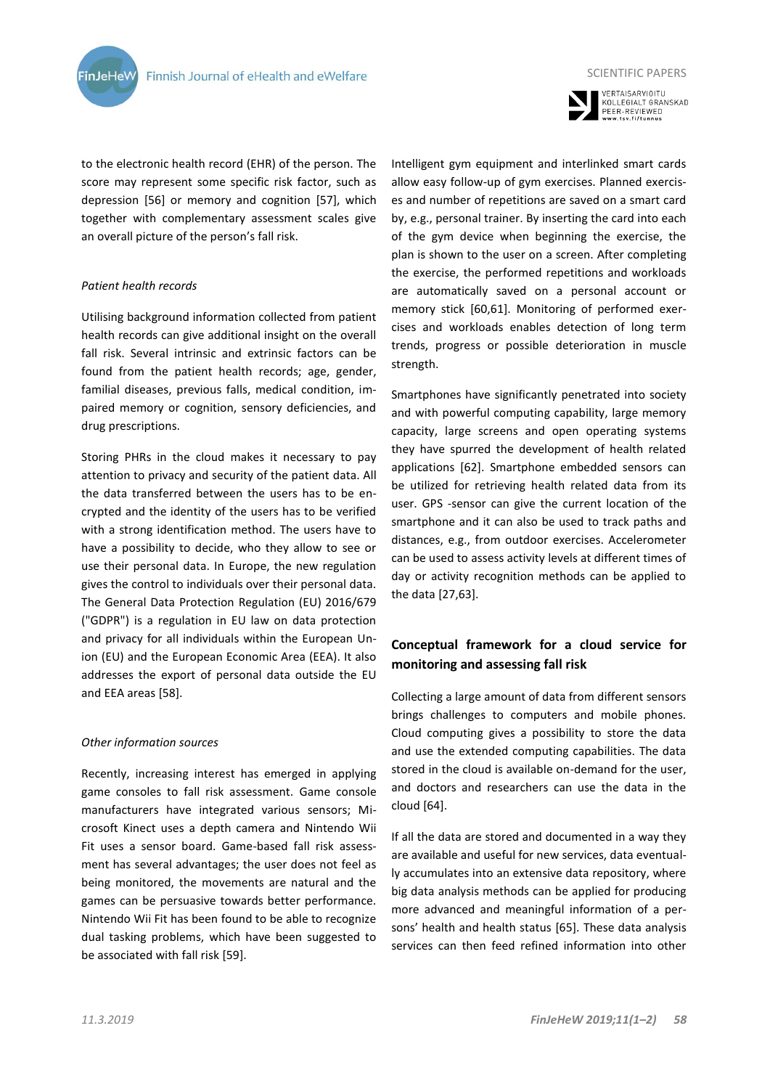

to the electronic health record (EHR) of the person. The score may represent some specific risk factor, such as depression [56] or memory and cognition [57], which together with complementary assessment scales give an overall picture of the person's fall risk.

# *Patient health records*

Utilising background information collected from patient health records can give additional insight on the overall fall risk. Several intrinsic and extrinsic factors can be found from the patient health records; age, gender, familial diseases, previous falls, medical condition, impaired memory or cognition, sensory deficiencies, and drug prescriptions.

Storing PHRs in the cloud makes it necessary to pay attention to privacy and security of the patient data. All the data transferred between the users has to be encrypted and the identity of the users has to be verified with a strong identification method. The users have to have a possibility to decide, who they allow to see or use their personal data. In Europe, the new regulation gives the control to individuals over their personal data. The General Data Protection Regulation (EU) 2016/679 ("GDPR") is a regulation in EU law on data protection and privacy for all individuals within the European Union (EU) and the European Economic Area (EEA). It also addresses the export of personal data outside the EU and EEA areas [58].

#### *Other information sources*

Recently, increasing interest has emerged in applying game consoles to fall risk assessment. Game console manufacturers have integrated various sensors; Microsoft Kinect uses a depth camera and Nintendo Wii Fit uses a sensor board. Game-based fall risk assessment has several advantages; the user does not feel as being monitored, the movements are natural and the games can be persuasive towards better performance. Nintendo Wii Fit has been found to be able to recognize dual tasking problems, which have been suggested to be associated with fall risk [59].



VERTAISARVIOITU<br>KOLLEGIALT GRANSKAD PEER-REVIEWED<br>www.tsv.fi/tunnus

Intelligent gym equipment and interlinked smart cards allow easy follow-up of gym exercises. Planned exercises and number of repetitions are saved on a smart card by, e.g., personal trainer. By inserting the card into each of the gym device when beginning the exercise, the plan is shown to the user on a screen. After completing the exercise, the performed repetitions and workloads are automatically saved on a personal account or memory stick [60,61]. Monitoring of performed exercises and workloads enables detection of long term trends, progress or possible deterioration in muscle strength.

Smartphones have significantly penetrated into society and with powerful computing capability, large memory capacity, large screens and open operating systems they have spurred the development of health related applications [62]. Smartphone embedded sensors can be utilized for retrieving health related data from its user. GPS -sensor can give the current location of the smartphone and it can also be used to track paths and distances, e.g., from outdoor exercises. Accelerometer can be used to assess activity levels at different times of day or activity recognition methods can be applied to the data [27,63].

# **Conceptual framework for a cloud service for monitoring and assessing fall risk**

Collecting a large amount of data from different sensors brings challenges to computers and mobile phones. Cloud computing gives a possibility to store the data and use the extended computing capabilities. The data stored in the cloud is available on-demand for the user, and doctors and researchers can use the data in the cloud [64].

If all the data are stored and documented in a way they are available and useful for new services, data eventually accumulates into an extensive data repository, where big data analysis methods can be applied for producing more advanced and meaningful information of a persons' health and health status [65]. These data analysis services can then feed refined information into other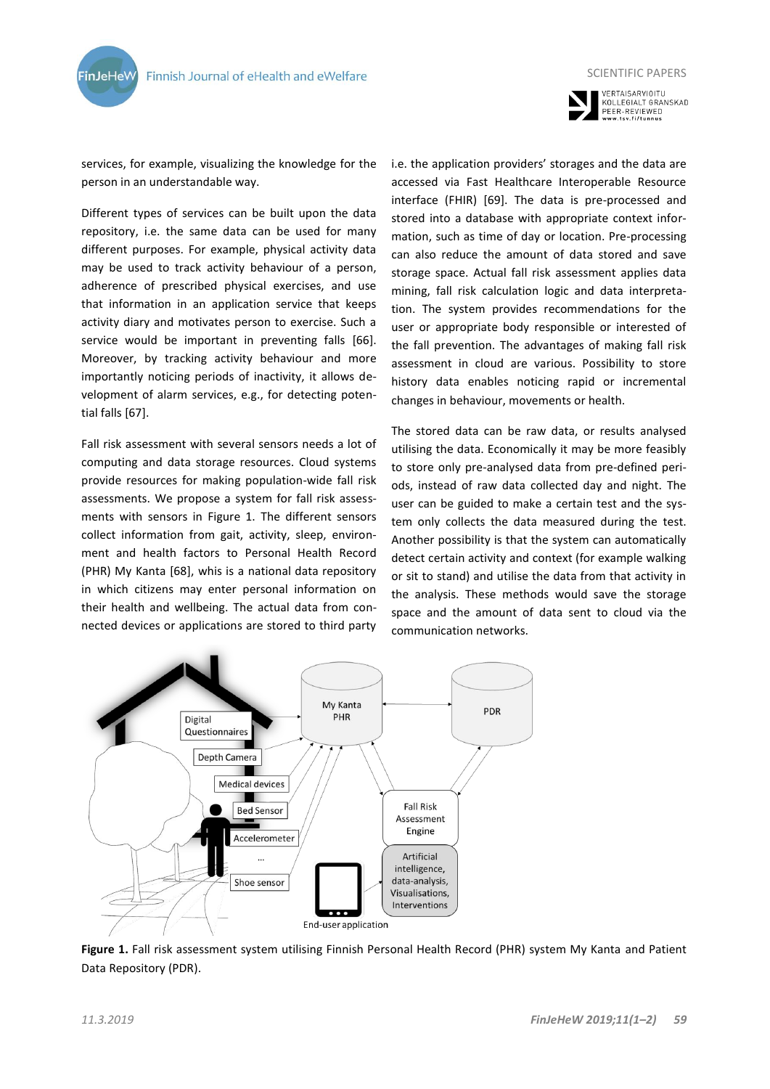



services, for example, visualizing the knowledge for the person in an understandable way.

Different types of services can be built upon the data repository, i.e. the same data can be used for many different purposes. For example, physical activity data may be used to track activity behaviour of a person, adherence of prescribed physical exercises, and use that information in an application service that keeps activity diary and motivates person to exercise. Such a service would be important in preventing falls [66]. Moreover, by tracking activity behaviour and more importantly noticing periods of inactivity, it allows development of alarm services, e.g., for detecting potential falls [67].

Fall risk assessment with several sensors needs a lot of computing and data storage resources. Cloud systems provide resources for making population-wide fall risk assessments. We propose a system for fall risk assessments with sensors in Figure 1. The different sensors collect information from gait, activity, sleep, environment and health factors to Personal Health Record (PHR) My Kanta [68], whis is a national data repository in which citizens may enter personal information on their health and wellbeing. The actual data from connected devices or applications are stored to third party

i.e. the application providers' storages and the data are accessed via Fast Healthcare Interoperable Resource interface (FHIR) [69]. The data is pre-processed and stored into a database with appropriate context information, such as time of day or location. Pre-processing can also reduce the amount of data stored and save storage space. Actual fall risk assessment applies data mining, fall risk calculation logic and data interpretation. The system provides recommendations for the user or appropriate body responsible or interested of the fall prevention. The advantages of making fall risk assessment in cloud are various. Possibility to store history data enables noticing rapid or incremental changes in behaviour, movements or health.

The stored data can be raw data, or results analysed utilising the data. Economically it may be more feasibly to store only pre-analysed data from pre-defined periods, instead of raw data collected day and night. The user can be guided to make a certain test and the system only collects the data measured during the test. Another possibility is that the system can automatically detect certain activity and context (for example walking or sit to stand) and utilise the data from that activity in the analysis. These methods would save the storage space and the amount of data sent to cloud via the communication networks.



**Figure 1.** Fall risk assessment system utilising Finnish Personal Health Record (PHR) system My Kanta and Patient Data Repository (PDR).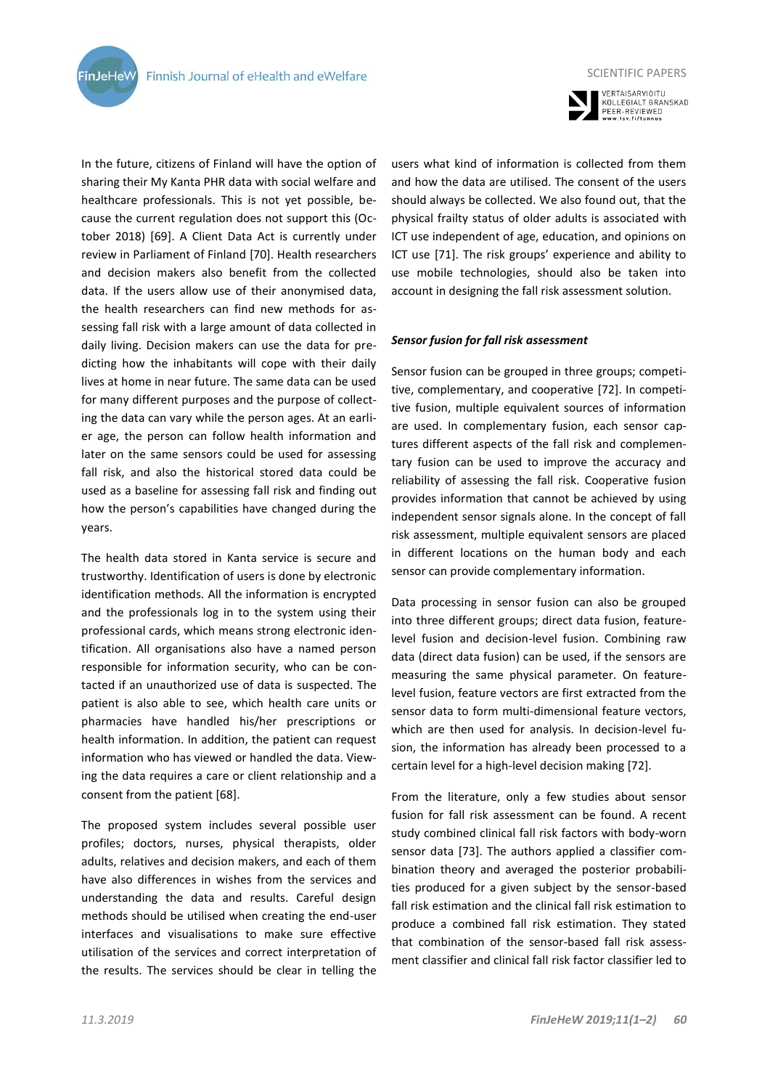**FinJeHeW** 

In the future, citizens of Finland will have the option of sharing their My Kanta PHR data with social welfare and healthcare professionals. This is not yet possible, because the current regulation does not support this (October 2018) [69]. A Client Data Act is currently under review in Parliament of Finland [70]. Health researchers and decision makers also benefit from the collected data. If the users allow use of their anonymised data, the health researchers can find new methods for assessing fall risk with a large amount of data collected in daily living. Decision makers can use the data for predicting how the inhabitants will cope with their daily lives at home in near future. The same data can be used for many different purposes and the purpose of collecting the data can vary while the person ages. At an earlier age, the person can follow health information and later on the same sensors could be used for assessing fall risk, and also the historical stored data could be used as a baseline for assessing fall risk and finding out how the person's capabilities have changed during the years.

The health data stored in Kanta service is secure and trustworthy. Identification of users is done by electronic identification methods. All the information is encrypted and the professionals log in to the system using their professional cards, which means strong electronic identification. All organisations also have a named person responsible for information security, who can be contacted if an unauthorized use of data is suspected. The patient is also able to see, which health care units or pharmacies have handled his/her prescriptions or health information. In addition, the patient can request information who has viewed or handled the data. Viewing the data requires a care or client relationship and a consent from the patient [68].

The proposed system includes several possible user profiles; doctors, nurses, physical therapists, older adults, relatives and decision makers, and each of them have also differences in wishes from the services and understanding the data and results. Careful design methods should be utilised when creating the end-user interfaces and visualisations to make sure effective utilisation of the services and correct interpretation of the results. The services should be clear in telling the



VERTAISARVIOITU<br>KOLLEGIALT GRANSKAD PEER-REVIEWED<br>www.tsv.fi/tunnus

users what kind of information is collected from them and how the data are utilised. The consent of the users should always be collected. We also found out, that the physical frailty status of older adults is associated with ICT use independent of age, education, and opinions on ICT use [71]. The risk groups' experience and ability to use mobile technologies, should also be taken into account in designing the fall risk assessment solution.

#### *Sensor fusion for fall risk assessment*

Sensor fusion can be grouped in three groups; competitive, complementary, and cooperative [72]. In competitive fusion, multiple equivalent sources of information are used. In complementary fusion, each sensor captures different aspects of the fall risk and complementary fusion can be used to improve the accuracy and reliability of assessing the fall risk. Cooperative fusion provides information that cannot be achieved by using independent sensor signals alone. In the concept of fall risk assessment, multiple equivalent sensors are placed in different locations on the human body and each sensor can provide complementary information.

Data processing in sensor fusion can also be grouped into three different groups; direct data fusion, featurelevel fusion and decision-level fusion. Combining raw data (direct data fusion) can be used, if the sensors are measuring the same physical parameter. On featurelevel fusion, feature vectors are first extracted from the sensor data to form multi-dimensional feature vectors, which are then used for analysis. In decision-level fusion, the information has already been processed to a certain level for a high-level decision making [72].

From the literature, only a few studies about sensor fusion for fall risk assessment can be found. A recent study combined clinical fall risk factors with body-worn sensor data [73]. The authors applied a classifier combination theory and averaged the posterior probabilities produced for a given subject by the sensor-based fall risk estimation and the clinical fall risk estimation to produce a combined fall risk estimation. They stated that combination of the sensor-based fall risk assessment classifier and clinical fall risk factor classifier led to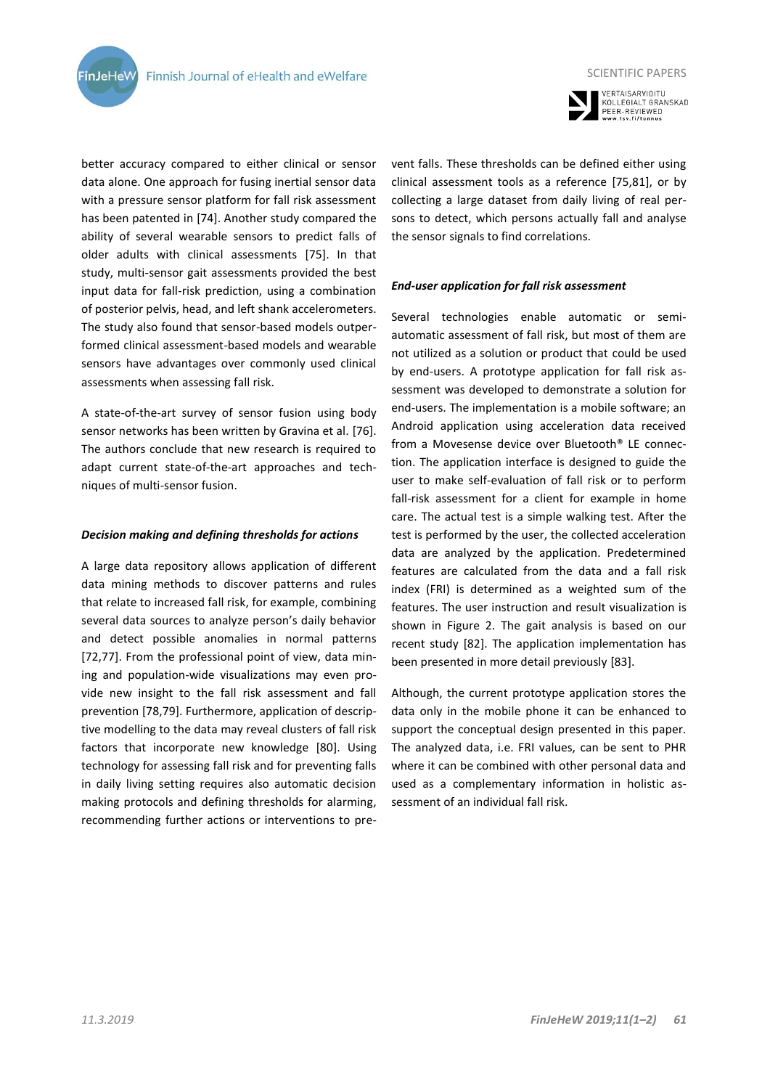

VERTAISARVIOITU<br>KOLLEGIALT GRANSKAD PEER-REVIEWED

better accuracy compared to either clinical or sensor data alone. One approach for fusing inertial sensor data with a pressure sensor platform for fall risk assessment has been patented in [74]. Another study compared the ability of several wearable sensors to predict falls of older adults with clinical assessments [75]. In that study, multi-sensor gait assessments provided the best input data for fall-risk prediction, using a combination of posterior pelvis, head, and left shank accelerometers. The study also found that sensor-based models outperformed clinical assessment-based models and wearable sensors have advantages over commonly used clinical assessments when assessing fall risk.

A state-of-the-art survey of sensor fusion using body sensor networks has been written by Gravina et al. [76]. The authors conclude that new research is required to adapt current state-of-the-art approaches and techniques of multi-sensor fusion.

#### *Decision making and defining thresholds for actions*

A large data repository allows application of different data mining methods to discover patterns and rules that relate to increased fall risk, for example, combining several data sources to analyze person's daily behavior and detect possible anomalies in normal patterns [72,77]. From the professional point of view, data mining and population-wide visualizations may even provide new insight to the fall risk assessment and fall prevention [78,79]. Furthermore, application of descriptive modelling to the data may reveal clusters of fall risk factors that incorporate new knowledge [80]. Using technology for assessing fall risk and for preventing falls in daily living setting requires also automatic decision making protocols and defining thresholds for alarming, recommending further actions or interventions to prevent falls. These thresholds can be defined either using clinical assessment tools as a reference [75,81], or by collecting a large dataset from daily living of real persons to detect, which persons actually fall and analyse the sensor signals to find correlations.

# *End-user application for fall risk assessment*

Several technologies enable automatic or semiautomatic assessment of fall risk, but most of them are not utilized as a solution or product that could be used by end-users. A prototype application for fall risk assessment was developed to demonstrate a solution for end-users. The implementation is a mobile software; an Android application using acceleration data received from a Movesense device over Bluetooth® LE connection. The application interface is designed to guide the user to make self-evaluation of fall risk or to perform fall-risk assessment for a client for example in home care. The actual test is a simple walking test. After the test is performed by the user, the collected acceleration data are analyzed by the application. Predetermined features are calculated from the data and a fall risk index (FRI) is determined as a weighted sum of the features. The user instruction and result visualization is shown in Figure 2. The gait analysis is based on our recent study [82]. The application implementation has been presented in more detail previously [83].

Although, the current prototype application stores the data only in the mobile phone it can be enhanced to support the conceptual design presented in this paper. The analyzed data, i.e. FRI values, can be sent to PHR where it can be combined with other personal data and used as a complementary information in holistic assessment of an individual fall risk.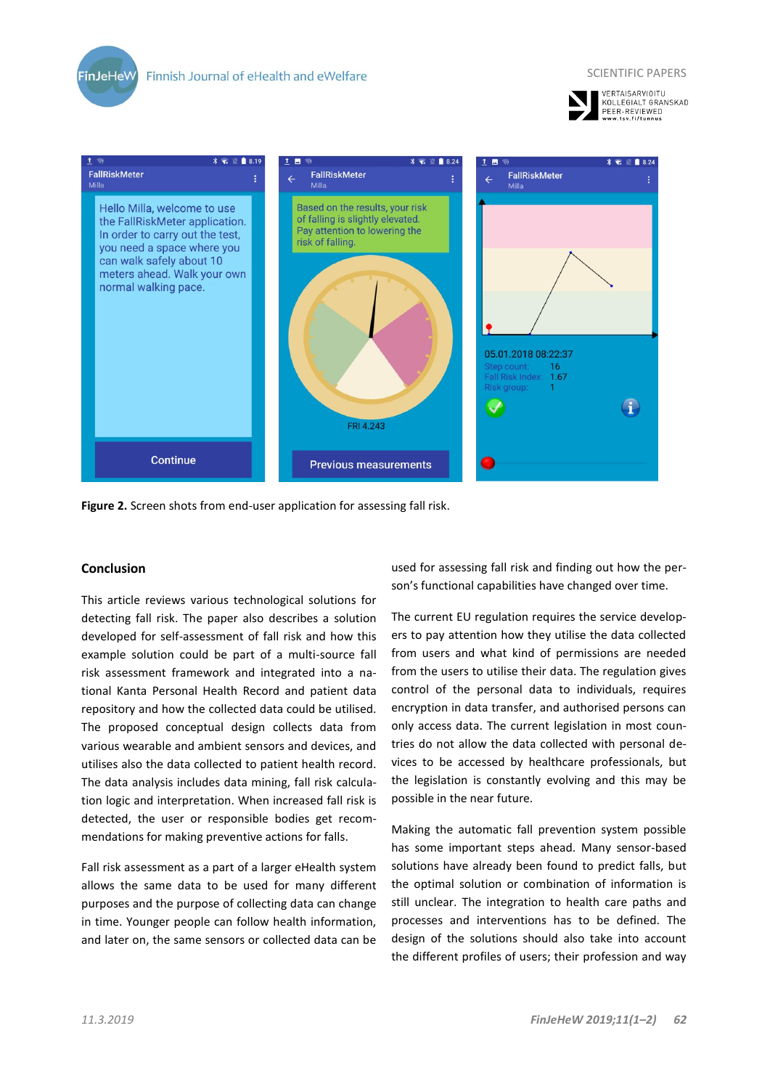







**Figure 2.** Screen shots from end-user application for assessing fall risk.

# **Conclusion**

This article reviews various technological solutions for detecting fall risk. The paper also describes a solution developed for self-assessment of fall risk and how this example solution could be part of a multi-source fall risk assessment framework and integrated into a national Kanta Personal Health Record and patient data repository and how the collected data could be utilised. The proposed conceptual design collects data from various wearable and ambient sensors and devices, and utilises also the data collected to patient health record. The data analysis includes data mining, fall risk calculation logic and interpretation. When increased fall risk is detected, the user or responsible bodies get recommendations for making preventive actions for falls.

Fall risk assessment as a part of a larger eHealth system allows the same data to be used for many different purposes and the purpose of collecting data can change in time. Younger people can follow health information, and later on, the same sensors or collected data can be used for assessing fall risk and finding out how the person's functional capabilities have changed over time.

The current EU regulation requires the service developers to pay attention how they utilise the data collected from users and what kind of permissions are needed from the users to utilise their data. The regulation gives control of the personal data to individuals, requires encryption in data transfer, and authorised persons can only access data. The current legislation in most countries do not allow the data collected with personal devices to be accessed by healthcare professionals, but the legislation is constantly evolving and this may be possible in the near future.

Making the automatic fall prevention system possible has some important steps ahead. Many sensor-based solutions have already been found to predict falls, but the optimal solution or combination of information is still unclear. The integration to health care paths and processes and interventions has to be defined. The design of the solutions should also take into account the different profiles of users; their profession and way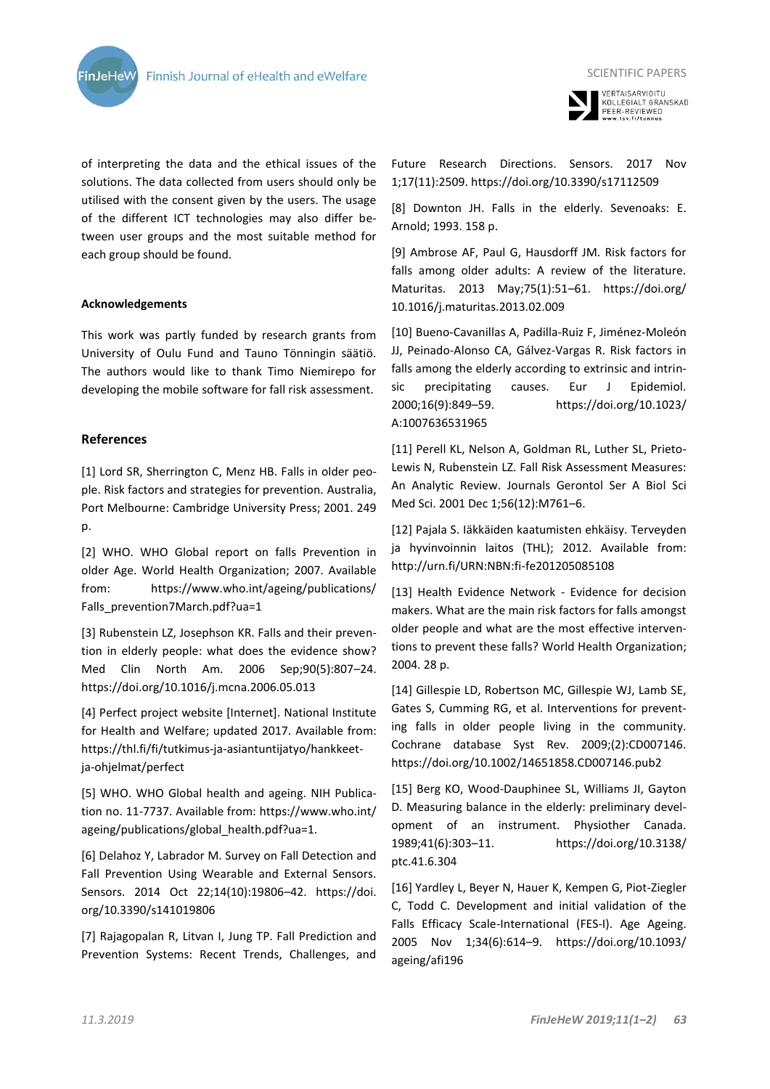

of interpreting the data and the ethical issues of the solutions. The data collected from users should only be utilised with the consent given by the users. The usage of the different ICT technologies may also differ between user groups and the most suitable method for each group should be found.

# **Acknowledgements**

This work was partly funded by research grants from University of Oulu Fund and Tauno Tönningin säätiö. The authors would like to thank Timo Niemirepo for developing the mobile software for fall risk assessment.

# **References**

[1] Lord SR, Sherrington C, Menz HB. Falls in older people. Risk factors and strategies for prevention. Australia, Port Melbourne: Cambridge University Press; 2001. 249 p.

[2] WHO. WHO Global report on falls Prevention in older Age. World Health Organization; 2007. Available from: https://www.who.int/ageing/publications/ Falls\_prevention7March.pdf?ua=1

[3] Rubenstein LZ, Josephson KR. Falls and their prevention in elderly people: what does the evidence show? Med Clin North Am. 2006 Sep;90(5):807–24. https://doi.org/10.1016/j.mcna.2006.05.013

[4] Perfect project website [Internet]. National Institute for Health and Welfare; updated 2017. Available from: https://thl.fi/fi/tutkimus-ja-asiantuntijatyo/hankkeetja-ohjelmat/perfect

[5] WHO. WHO Global health and ageing. NIH Publication no. 11-7737. Available from: https://www.who.int/ ageing/publications/global\_health.pdf?ua=1.

[6] Delahoz Y, Labrador M. Survey on Fall Detection and Fall Prevention Using Wearable and External Sensors. Sensors. 2014 Oct 22;14(10):19806–42. https://doi. org/10.3390/s141019806

[7] Rajagopalan R, Litvan I, Jung TP. Fall Prediction and Prevention Systems: Recent Trends, Challenges, and



VERTAISARVIOITU<br>KOLLEGIALT GRANSKAD PEER-REVIEWED<br>www.tsv.fi/tunnus

Future Research Directions. Sensors. 2017 Nov 1;17(11):2509. https://doi.org/10.3390/s17112509

[8] Downton JH. Falls in the elderly. Sevenoaks: E. Arnold; 1993. 158 p.

[9] Ambrose AF, Paul G, Hausdorff JM. Risk factors for falls among older adults: A review of the literature. Maturitas. 2013 May;75(1):51–61. https://doi.org/ 10.1016/j.maturitas.2013.02.009

[10] Bueno-Cavanillas A, Padilla-Ruiz F, Jiménez-Moleón JJ, Peinado-Alonso CA, Gálvez-Vargas R. Risk factors in falls among the elderly according to extrinsic and intrinsic precipitating causes. Eur J Epidemiol. 2000;16(9):849–59. https://doi.org/10.1023/ A:1007636531965

[11] Perell KL, Nelson A, Goldman RL, Luther SL, Prieto-Lewis N, Rubenstein LZ. Fall Risk Assessment Measures: An Analytic Review. Journals Gerontol Ser A Biol Sci Med Sci. 2001 Dec 1;56(12):M761–6.

[12] Pajala S. Iäkkäiden kaatumisten ehkäisy. Terveyden ja hyvinvoinnin laitos (THL); 2012. Available from: http://urn.fi/URN:NBN:fi-fe201205085108

[13] Health Evidence Network - Evidence for decision makers. What are the main risk factors for falls amongst older people and what are the most effective interventions to prevent these falls? World Health Organization; 2004. 28 p.

[14] Gillespie LD, Robertson MC, Gillespie WJ, Lamb SE, Gates S, Cumming RG, et al. Interventions for preventing falls in older people living in the community. Cochrane database Syst Rev. 2009;(2):CD007146. https://doi.org/10.1002/14651858.CD007146.pub2

[15] Berg KO, Wood-Dauphinee SL, Williams JI, Gayton D. Measuring balance in the elderly: preliminary development of an instrument. Physiother Canada. 1989;41(6):303–11. https://doi.org/10.3138/ ptc.41.6.304

[16] Yardley L, Beyer N, Hauer K, Kempen G, Piot-Ziegler C, Todd C. Development and initial validation of the Falls Efficacy Scale-International (FES-I). Age Ageing. 2005 Nov 1;34(6):614–9. https://doi.org/10.1093/ ageing/afi196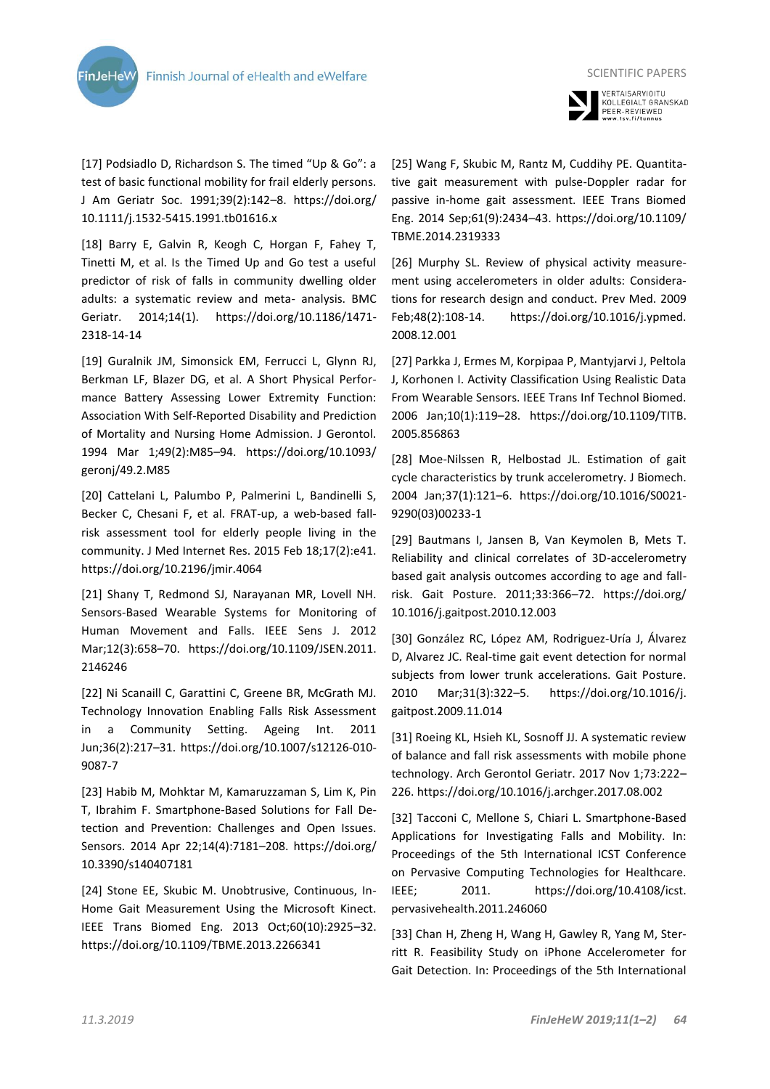



[17] Podsiadlo D, Richardson S. The timed "Up & Go": a test of basic functional mobility for frail elderly persons. J Am Geriatr Soc. 1991;39(2):142–8. https://doi.org/ 10.1111/j.1532-5415.1991.tb01616.x

[18] Barry E, Galvin R, Keogh C, Horgan F, Fahey T, Tinetti M, et al. Is the Timed Up and Go test a useful predictor of risk of falls in community dwelling older adults: a systematic review and meta- analysis. BMC Geriatr. 2014;14(1). https://doi.org/10.1186/1471- 2318-14-14

[19] Guralnik JM, Simonsick EM, Ferrucci L, Glynn RJ, Berkman LF, Blazer DG, et al. A Short Physical Performance Battery Assessing Lower Extremity Function: Association With Self-Reported Disability and Prediction of Mortality and Nursing Home Admission. J Gerontol. 1994 Mar 1;49(2):M85–94. https://doi.org/10.1093/ geronj/49.2.M85

[20] Cattelani L, Palumbo P, Palmerini L, Bandinelli S, Becker C, Chesani F, et al. FRAT-up, a web-based fallrisk assessment tool for elderly people living in the community. J Med Internet Res. 2015 Feb 18;17(2):e41. https://doi.org/10.2196/jmir.4064

[21] Shany T, Redmond SJ, Narayanan MR, Lovell NH. Sensors-Based Wearable Systems for Monitoring of Human Movement and Falls. IEEE Sens J. 2012 Mar;12(3):658–70. https://doi.org/10.1109/JSEN.2011. 2146246

[22] Ni Scanaill C, Garattini C, Greene BR, McGrath MJ. Technology Innovation Enabling Falls Risk Assessment in a Community Setting. Ageing Int. 2011 Jun;36(2):217–31. https://doi.org/10.1007/s12126-010- 9087-7

[23] Habib M, Mohktar M, Kamaruzzaman S, Lim K, Pin T, Ibrahim F. Smartphone-Based Solutions for Fall Detection and Prevention: Challenges and Open Issues. Sensors. 2014 Apr 22;14(4):7181–208. https://doi.org/ 10.3390/s140407181

[24] Stone EE, Skubic M. Unobtrusive, Continuous, In-Home Gait Measurement Using the Microsoft Kinect. IEEE Trans Biomed Eng. 2013 Oct;60(10):2925–32. https://doi.org/10.1109/TBME.2013.2266341

[25] Wang F, Skubic M, Rantz M, Cuddihy PE. Quantitative gait measurement with pulse-Doppler radar for passive in-home gait assessment. IEEE Trans Biomed Eng. 2014 Sep;61(9):2434–43. https://doi.org/10.1109/ TBME.2014.2319333

[26] Murphy SL. Review of physical activity measurement using accelerometers in older adults: Considerations for research design and conduct. Prev Med. 2009 Feb;48(2):108-14. https://doi.org/10.1016/j.ypmed. 2008.12.001

[27] Parkka J, Ermes M, Korpipaa P, Mantyjarvi J, Peltola J, Korhonen I. Activity Classification Using Realistic Data From Wearable Sensors. IEEE Trans Inf Technol Biomed. 2006 Jan;10(1):119–28. https://doi.org/10.1109/TITB. 2005.856863

[28] Moe-Nilssen R, Helbostad JL. Estimation of gait cycle characteristics by trunk accelerometry. J Biomech. 2004 Jan;37(1):121–6. https://doi.org/10.1016/S0021- 9290(03)00233-1

[29] Bautmans I, Jansen B, Van Keymolen B, Mets T. Reliability and clinical correlates of 3D-accelerometry based gait analysis outcomes according to age and fallrisk. Gait Posture. 2011;33:366–72. https://doi.org/ 10.1016/j.gaitpost.2010.12.003

[30] González RC, López AM, Rodriguez-Uría J, Álvarez D, Alvarez JC. Real-time gait event detection for normal subjects from lower trunk accelerations. Gait Posture. 2010 Mar;31(3):322–5. https://doi.org/10.1016/j. gaitpost.2009.11.014

[31] Roeing KL, Hsieh KL, Sosnoff JJ. A systematic review of balance and fall risk assessments with mobile phone technology. Arch Gerontol Geriatr. 2017 Nov 1;73:222– 226. https://doi.org/10.1016/j.archger.2017.08.002

[32] Tacconi C, Mellone S, Chiari L. Smartphone-Based Applications for Investigating Falls and Mobility. In: Proceedings of the 5th International ICST Conference on Pervasive Computing Technologies for Healthcare. IEEE; 2011. https://doi.org/10.4108/icst. pervasivehealth.2011.246060

[33] Chan H, Zheng H, Wang H, Gawley R, Yang M, Sterritt R. Feasibility Study on iPhone Accelerometer for Gait Detection. In: Proceedings of the 5th International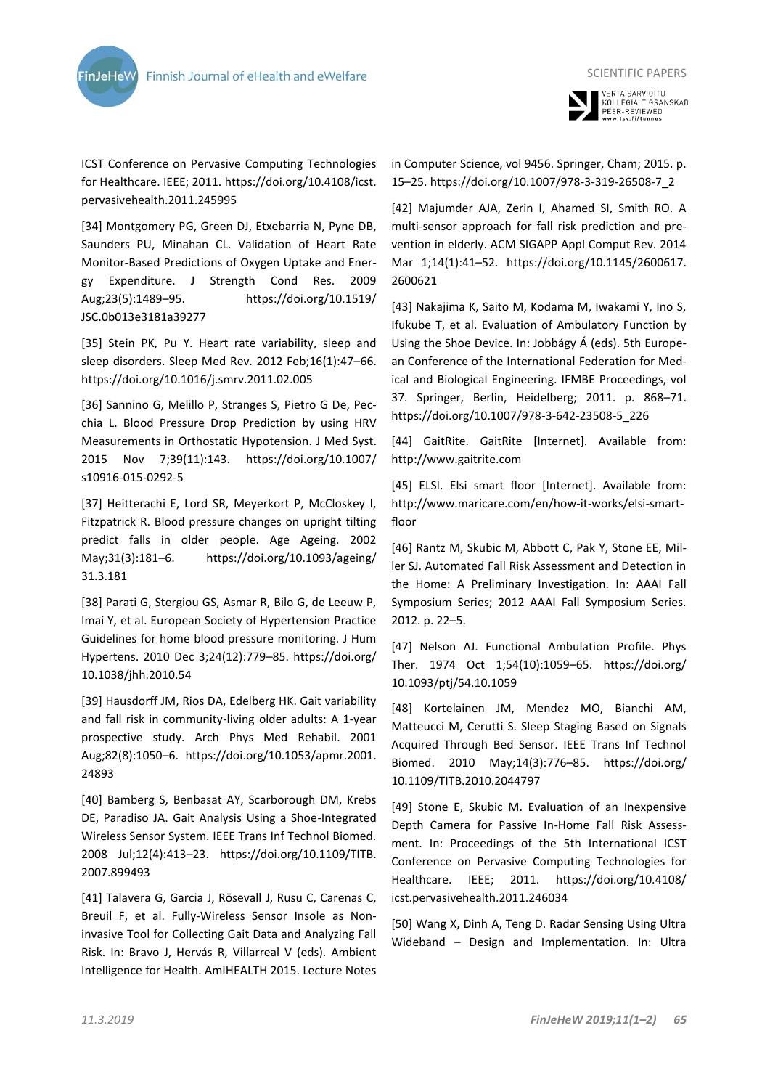



SCIENTIFIC PAPERS

ICST Conference on Pervasive Computing Technologies for Healthcare. IEEE; 2011. https://doi.org/10.4108/icst. pervasivehealth.2011.245995

[34] Montgomery PG, Green DJ, Etxebarria N, Pyne DB, Saunders PU, Minahan CL. Validation of Heart Rate Monitor-Based Predictions of Oxygen Uptake and Energy Expenditure. J Strength Cond Res. 2009 Aug;23(5):1489–95. https://doi.org/10.1519/ JSC.0b013e3181a39277

[35] Stein PK, Pu Y. Heart rate variability, sleep and sleep disorders. Sleep Med Rev. 2012 Feb;16(1):47–66. https://doi.org/10.1016/j.smrv.2011.02.005

[36] Sannino G, Melillo P, Stranges S, Pietro G De, Pecchia L. Blood Pressure Drop Prediction by using HRV Measurements in Orthostatic Hypotension. J Med Syst. 2015 Nov 7;39(11):143. https://doi.org/10.1007/ s10916-015-0292-5

[37] Heitterachi E, Lord SR, Meyerkort P, McCloskey I, Fitzpatrick R. Blood pressure changes on upright tilting predict falls in older people. Age Ageing. 2002 May;31(3):181–6. https://doi.org/10.1093/ageing/ 31.3.181

[38] Parati G, Stergiou GS, Asmar R, Bilo G, de Leeuw P, Imai Y, et al. European Society of Hypertension Practice Guidelines for home blood pressure monitoring. J Hum Hypertens. 2010 Dec 3;24(12):779–85. https://doi.org/ 10.1038/jhh.2010.54

[39] Hausdorff JM, Rios DA, Edelberg HK. Gait variability and fall risk in community-living older adults: A 1-year prospective study. Arch Phys Med Rehabil. 2001 Aug;82(8):1050–6. https://doi.org/10.1053/apmr.2001. 24893

[40] Bamberg S, Benbasat AY, Scarborough DM, Krebs DE, Paradiso JA. Gait Analysis Using a Shoe-Integrated Wireless Sensor System. IEEE Trans Inf Technol Biomed. 2008 Jul;12(4):413–23. https://doi.org/10.1109/TITB. 2007.899493

[41] Talavera G, Garcia J, Rösevall J, Rusu C, Carenas C, Breuil F, et al. Fully-Wireless Sensor Insole as Noninvasive Tool for Collecting Gait Data and Analyzing Fall Risk. In: Bravo J, Hervás R, Villarreal V (eds). Ambient Intelligence for Health. AmIHEALTH 2015. Lecture Notes

in Computer Science, vol 9456. Springer, Cham; 2015. p. 15–25. https://doi.org/10.1007/978-3-319-26508-7\_2

[42] Majumder AJA, Zerin I, Ahamed SI, Smith RO. A multi-sensor approach for fall risk prediction and prevention in elderly. ACM SIGAPP Appl Comput Rev. 2014 Mar 1;14(1):41–52. https://doi.org/10.1145/2600617. 2600621

[43] Nakajima K, Saito M, Kodama M, Iwakami Y, Ino S, Ifukube T, et al. Evaluation of Ambulatory Function by Using the Shoe Device. In: Jobbágy Á (eds). 5th European Conference of the International Federation for Medical and Biological Engineering. IFMBE Proceedings, vol 37. Springer, Berlin, Heidelberg; 2011. p. 868–71. https://doi.org/10.1007/978-3-642-23508-5\_226

[44] GaitRite. GaitRite [Internet]. Available from: http://www.gaitrite.com

[45] ELSI. Elsi smart floor [Internet]. Available from: http://www.maricare.com/en/how-it-works/elsi-smartfloor

[46] Rantz M, Skubic M, Abbott C, Pak Y, Stone EE, Miller SJ. Automated Fall Risk Assessment and Detection in the Home: A Preliminary Investigation. In: AAAI Fall Symposium Series; 2012 AAAI Fall Symposium Series. 2012. p. 22–5.

[47] Nelson AJ. Functional Ambulation Profile. Phys Ther. 1974 Oct 1;54(10):1059–65. https://doi.org/ 10.1093/ptj/54.10.1059

[48] Kortelainen JM, Mendez MO, Bianchi AM, Matteucci M, Cerutti S. Sleep Staging Based on Signals Acquired Through Bed Sensor. IEEE Trans Inf Technol Biomed. 2010 May;14(3):776–85. https://doi.org/ 10.1109/TITB.2010.2044797

[49] Stone E, Skubic M. Evaluation of an Inexpensive Depth Camera for Passive In-Home Fall Risk Assessment. In: Proceedings of the 5th International ICST Conference on Pervasive Computing Technologies for Healthcare. IEEE; 2011. https://doi.org/10.4108/ icst.pervasivehealth.2011.246034

[50] Wang X, Dinh A, Teng D. Radar Sensing Using Ultra Wideband – Design and Implementation. In: Ultra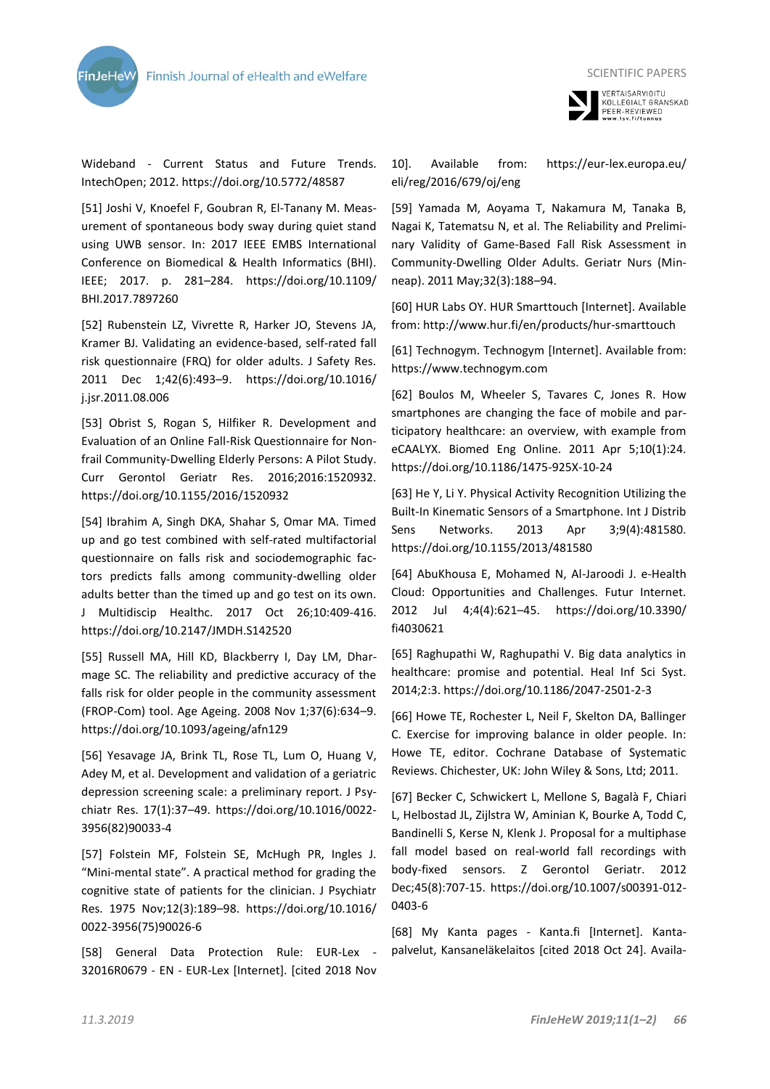

Wideband - Current Status and Future Trends. IntechOpen; 2012. https://doi.org/10.5772/48587

[51] Joshi V, Knoefel F, Goubran R, El-Tanany M. Measurement of spontaneous body sway during quiet stand using UWB sensor. In: 2017 IEEE EMBS International Conference on Biomedical & Health Informatics (BHI). IEEE; 2017. p. 281–284. https://doi.org/10.1109/ BHI.2017.7897260

[52] Rubenstein LZ, Vivrette R, Harker JO, Stevens JA, Kramer BJ. Validating an evidence-based, self-rated fall risk questionnaire (FRQ) for older adults. J Safety Res. 2011 Dec 1;42(6):493–9. https://doi.org/10.1016/ j.jsr.2011.08.006

[53] Obrist S, Rogan S, Hilfiker R. Development and Evaluation of an Online Fall-Risk Questionnaire for Nonfrail Community-Dwelling Elderly Persons: A Pilot Study. Curr Gerontol Geriatr Res. 2016;2016:1520932. https://doi.org/10.1155/2016/1520932

[54] Ibrahim A, Singh DKA, Shahar S, Omar MA. Timed up and go test combined with self-rated multifactorial questionnaire on falls risk and sociodemographic factors predicts falls among community-dwelling older adults better than the timed up and go test on its own. J Multidiscip Healthc. 2017 Oct 26;10:409-416. https://doi.org/10.2147/JMDH.S142520

[55] Russell MA, Hill KD, Blackberry I, Day LM, Dharmage SC. The reliability and predictive accuracy of the falls risk for older people in the community assessment (FROP-Com) tool. Age Ageing. 2008 Nov 1;37(6):634–9. https://doi.org/10.1093/ageing/afn129

[56] Yesavage JA, Brink TL, Rose TL, Lum O, Huang V, Adey M, et al. Development and validation of a geriatric depression screening scale: a preliminary report. J Psychiatr Res. 17(1):37–49. https://doi.org/10.1016/0022- 3956(82)90033-4

[57] Folstein MF, Folstein SE, McHugh PR, Ingles J. "Mini-mental state". A practical method for grading the cognitive state of patients for the clinician. J Psychiatr Res. 1975 Nov;12(3):189–98. https://doi.org/10.1016/ 0022-3956(75)90026-6

[58] General Data Protection Rule: EUR-Lex - 32016R0679 - EN - EUR-Lex [Internet]. [cited 2018 Nov SCIENTIFIC PAPERS VERTAISARVIOITU<br>KOLLEGIALT GRANSKAD PEER-REVIEWED<br>www.tsv.fi/tunnus

10]. Available from: https://eur-lex.europa.eu/ eli/reg/2016/679/oj/eng

[59] Yamada M, Aoyama T, Nakamura M, Tanaka B, Nagai K, Tatematsu N, et al. The Reliability and Preliminary Validity of Game-Based Fall Risk Assessment in Community-Dwelling Older Adults. Geriatr Nurs (Minneap). 2011 May;32(3):188–94.

[60] HUR Labs OY. HUR Smarttouch [Internet]. Available from: http://www.hur.fi/en/products/hur-smarttouch

[61] Technogym. Technogym [Internet]. Available from: https://www.technogym.com

[62] Boulos M, Wheeler S, Tavares C, Jones R. How smartphones are changing the face of mobile and participatory healthcare: an overview, with example from eCAALYX. Biomed Eng Online. 2011 Apr 5;10(1):24. https://doi.org/10.1186/1475-925X-10-24

[63] He Y, Li Y. Physical Activity Recognition Utilizing the Built-In Kinematic Sensors of a Smartphone. Int J Distrib Sens Networks. 2013 Apr 3;9(4):481580. https://doi.org/10.1155/2013/481580

[64] AbuKhousa E, Mohamed N, Al-Jaroodi J. e-Health Cloud: Opportunities and Challenges. Futur Internet. 2012 Jul 4;4(4):621–45. https://doi.org/10.3390/ fi4030621

[65] Raghupathi W, Raghupathi V. Big data analytics in healthcare: promise and potential. Heal Inf Sci Syst. 2014;2:3. https://doi.org/10.1186/2047-2501-2-3

[66] Howe TE, Rochester L, Neil F, Skelton DA, Ballinger C. Exercise for improving balance in older people. In: Howe TE, editor. Cochrane Database of Systematic Reviews. Chichester, UK: John Wiley & Sons, Ltd; 2011.

[67] Becker C, Schwickert L, Mellone S, Bagalà F, Chiari L, Helbostad JL, Zijlstra W, Aminian K, Bourke A, Todd C, Bandinelli S, Kerse N, Klenk J. Proposal for a multiphase fall model based on real-world fall recordings with body-fixed sensors. Z Gerontol Geriatr. 2012 Dec;45(8):707-15. https://doi.org/10.1007/s00391-012- 0403-6

[68] My Kanta pages - Kanta.fi [Internet]. Kantapalvelut, Kansaneläkelaitos [cited 2018 Oct 24]. Availa-